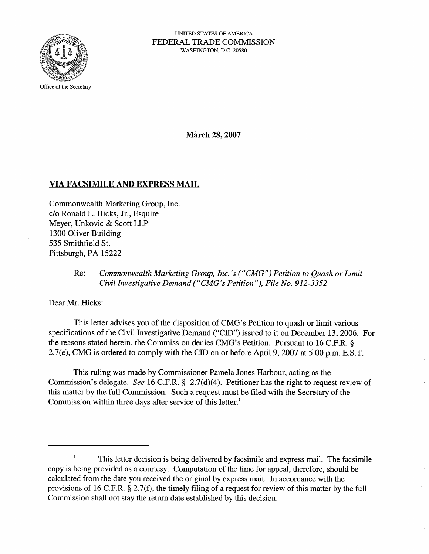

#### UNITED STATES OF AMERICA FEDERAL TRADE COMMSSION WASHINGTON, D.C. 20580

Office of the Secretary

March 28, 2007

## VIA FACSIMILE AND EXPRESS MAIL

Commonwealth Marketing Group, Inc. c/o Ronald L. Hicks, Jr. , Esquire Meyer, Unkovic & Scott LLP 1300 Oliver Building 535 Smithfield SI. Pittsburgh, PA 15222

# Re: Commonwealth Marketing Group, Inc.'s ("CMG") Petition to Quash or Limit Civil Investigative Demand ("CMG's Petition"), File No. 912-3352

Dear Mr. Hicks:

This letter advises you of the disposition of CMG's Petition to quash or limit various specifications of the Civil Investigative Demand ("CID") issued to it on December 13, 2006. For the reasons stated herein, the Commission denies CMG's Petition. Pursuant to 16 C.F.R. § 2.7(e), CMG is ordered to comply with the CID on or before April 9, 2007 at 5:00 p.m. E.S.T.

This ruling was made by Commissioner Pamela Jones Harbour, acting as the Commission's delegate. See 16 C.F.R. § 2.7(d)(4). Petitioner has the right to request review of this matter by the full Commission. Such a request must be filed with the Secretary of the Commission within three days after service of this letter.

This letter decision is being delivered by facsimile and express mail. The facsimile copy is being provided as a courtesy. Computation of the time for appeal, therefore, should be calculated from the date you received the original by express mail. In accordance with the provisions of 16 C.F.R. g 2.7(f), the timely filing of a request for review of this matter by the full Commission shall not stay the return date established by this decision.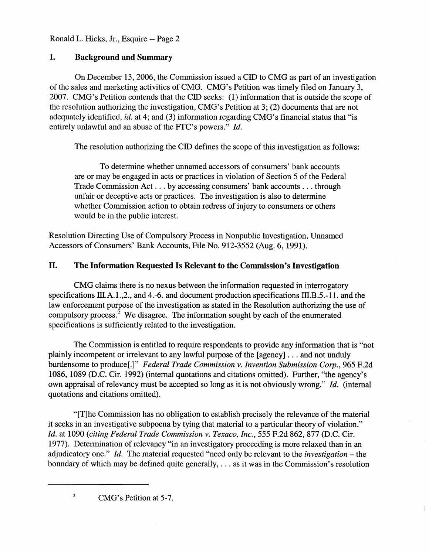#### I. Background and Summary

On December 13, 2006 , the Commission issued a CID to CMG as part of an investigation of the sales and marketing activities of CMG. CMG' s Petition was timely filed on January 3 2007. CMG's Petition contends that the CID seeks: (1) information that is outside the scope of the resolution authorizing the investigation, CMG' s Petition at 3; (2) doeuments that are not adequately identified, id. at 4; and (3) information regarding CMG's financial status that "is entirely unlawful and an abuse of the FTC's powers."  $Id$ .

The resolution authorizing the CID defines the scope of this investigation as follows:

To determine whether unnamed accessors of consumers' bank accounts are or may be engaged in acts or practices in violation of Section 5 of the Federal Trade Commission Act... by accessing consumers' bank accounts... through unfair or deceptive acts or practices. The investigation is also to determine whether Commission action to obtain redress of injury to consumers or others would be in the public interest.

Resolution Directing Use of Compulsory Process in Nonpublic Investigation, Unnamed Accessors of Consumers' Bank Accounts, File No. 912-3552 (Aug. 6, 1991).

# II. The Information Requested Is Relevant to the Commission's Investigation

CMG claims there is no nexus between the information requested in interrogatory specifications  $\text{III.A.1.2.}$ , and 4.-6. and document production specifications  $\text{III.B.5.-11.}$  and the law enforcement purpose of the investigation as stated in the Resolution authorizing the use of compulsory process? We disagree. The information sought by each of the enumerated specifications is sufficiently related to the investigation.

The Commission is entitled to require respondents to provide any information that is "not plainly incompetent or irrelevant to any lawful purpose of the (agency) . . . and not unduly burdensome to produce[.]" Federal Trade Commission v. Invention Submission Corp., 965 F.2d 1086, 1089 (D.C. Cir. 1992) (internal quotations and citations omitted). Further, "the agency own appraisal of relevancy must be accepted so long as it is not obviously wrong." Id. (internal quotations and citations omitted).

(T)he Commission has no obligation to establish precisely the relevance of the material it seeks in an investigative subpoena by tying that material to a particular theory of violation. Id. at 1090 (citing Federal Trade Commission v. Texaco, Inc. 555 F.2d 862, 877 (D.C. Cir. 1977). Determination of relevancy "in an investigatory proceeding is more relaxed than in an adjudicatory one." Id. The material requested "need only be relevant to the *investigation* – the boundary of which may be defined quite generally,  $\dots$  as it was in the Commission's resolution

 $\sqrt{2}$ CMG's Petition at 5-7.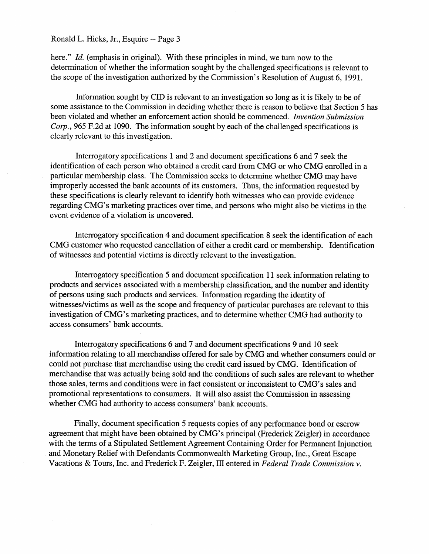here." *Id.* (emphasis in original). With these principles in mind, we turn now to the determination of whether the information sought by the challenged specifications is relevant to the scope of the investigation authorized by the Commission's Resolution of August 6, 1991.

Information sought by CID is relevant to an investigation so long as it is likely to be of some assistance to the Commission in deciding whether there is reason to believe that Section 5 has becn violated and whether an enforcement action should be commenced. Invention Submission Corp. 965 F.2d at 1090. The information sought by each of the challenged specifications is clearly relevant to this investigation.

Intcrrogatory specifications 1 and 2 and document specifications 6 and 7 seek the identification of each person who obtained a credit card from CMG or who CMG enrolled in a particular membership class. The Commission seeks to determine whether CMG may have improperly accessed the bank accounts of its customers. Thus, the information requested by these specifications is clearly relevant to identify both witnesses who can provide evidence regarding CMG' s marketing practices over time, and persons who might also be victims in the event evidence of a violation is uneovered.

Interrogatory speeifieation 4 and document specifieation 8 seek the identification of eaeh CMG customer who requested cancellation of either a eredit eard or membership. Identification of witnesses and potential victims is directly relevant to the investigation.

Interrogatory specification 5 and document specification 11 seek information relating to products and services associated with a membership classification, and the number and identity of persons using such products and services. Information regarding the identity of witnesses/victims as well as the scope and frequency of paricular purchases are relevant to this investigation of CMG's marketing practices, and to determine whether CMG had authority to access consumers' bank accounts.

Interrogatory specifications 6 and 7 and document specifications 9 and 10 seek information relating to all merchandise offered for sale by CMG and whether consumers could could not purchase that merchandise using the credit card issued by CMG. Identification of merchandise that was actually being sold and the conditions of such sales are relevant to whether those sales, terms and conditions were in fact consistent or inconsistent to CMG's sales and promotional representations to consumers. It will also assist the Commission in assessing whether CMG had authority to access consumers' bank accounts.

Finally, document specification 5 requests copies of any performance bond or escrow agreement that might have been obtained by CMG' s principal (Frederick Zeigler) in accordance with the terms of a Stipulated Settlement Agreement Containing Order for Permanent Injunction and Monetary Relief with Defendants Commonwealth Marketing Group, Inc., Great Escape Vacations & Tours, Inc. and Frederick F. Zeigler, III entered in Federal Trade Commission v.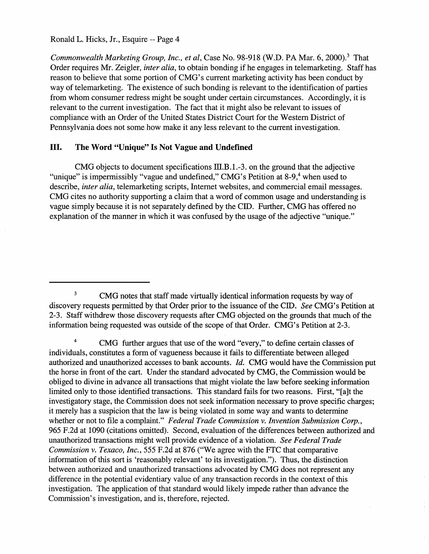Commonwealth Marketing Group, Inc., et al, Case No. 98-918 (W.D. PA Mar. 6, 2000).<sup>3</sup> That Order requires Mr. Zeigler, *inter alia*, to obtain bonding if he engages in telemarketing. Staff has reason to believe that some portion of CMG's current marketing activity has been conduct by way of telemarketing. The existence of such bonding is relevant to the identification of parties from whom consumer redress might be sought under certain circumstances. Accordingly, it is relevant to the current investigation. The fact that it might also be relevant to issues of compliance with an Order of the United States District Court for the Western Distriet of Pennsylvania does not some how make it any less relevant to the current investigation.

## II. The Word "Unique" Is Not Vague and Undefined

CMG objects to document specifications  $III.B.1.-3.$  on the ground that the adjective "unique" is impermissibly "vague and undefined," CMG's Petition at  $8-9$ , when used to describe, inter alia, telemarketing scripts, Internet websites, and commercial email messages. CMG cites no authority supporting a claim that a word of common usage and understanding is vague simply because it is not separately defined by the CID. Further, CMG has offered no explanation of the manner in which it was confused by the usage of the adjective "unique."

 $\overline{\mathbf{3}}$ CMG notes that staff made virtually identical information requests by way of discovery requests permitted by that Order prior to the issuance of the CID. See CMG's Petition at 3. Staff withdrew those discovery requests after CMG objected on the grounds that much of the information being requested was outside of the scope of that Order. CMG's Petition at 2-3.

 $\overline{4}$ CMG further argues that use of the word "every," to define certain classes of individuals, constitutes a form of vagueness because it fails to differentiate between alleged authorized and unauthorized accesses to bank accounts. *Id.* CMG would have the Commission put the horse in front of the cart. Under the standard advocated by CMG, the Commission would be obliged to divine in advance all transactions that might violate the law before seeking information limited only to those identified transactions. This standard fails for two reasons. First, "[a]t the investigatory stage, the Commission does not seek information necessary to prove specific charges; it merely has a suspicion that the law is being violated in some way and wants to determine whether or not to file a complaint." Federal Trade Commission v. Invention Submission Corp., 965 F.2d at 1090 (citations omitted). Second, evaluation of the differences between authorized and unauthorized transactions might well provide evidence of a violation. See Federal Trade Commission v. Texaco, Inc. 555 F.2d at 876 ("We agree with the FTC that comparative information of this sort is 'reasonably relevant' to its investigation."). Thus, the distinction between authorized and unauthorized transactions advocated by CMG does not represent any difference in the potential evidentiary valuc of any transaction records in the context of this investigation. The application of that standard would likely impede rather than advance the Commission's investigation, and is, therefore, rejected.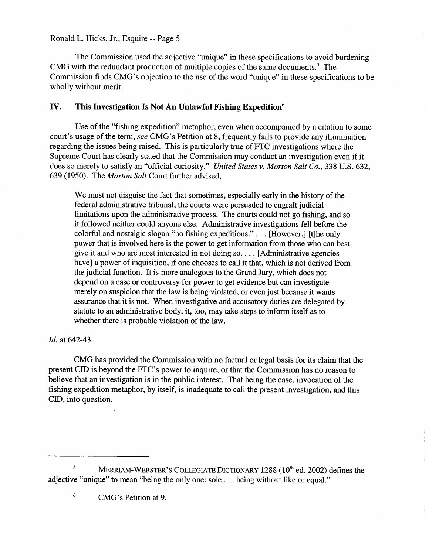The Commission used the adjective "unique" in these specifications to avoid burdening CMG with the redundant production of multiple copies of the same documents.' The Commission finds CMG's objection to the use of the word "unique" in these specifications to be wholly without merit.

## IV. This Investigation Is Not An Unlawful Fishing Expedition

Use of the "fishing expedition" metaphor, even when accompanied by a citation to some court's usage of the term, see CMG's Petition at 8, frequently fails to provide any illumination regarding the issues being raised. This is particularly true of FTC investigations where the Supreme Court has clearly stated that the Commission may conduct an investigation even if it does so merely to satisfy an "official curiosity." United States v. Morton Salt Co., 338 U.S. 632, 639 (1950). The Morton Salt Court further advised,

We must not disguise the fact that sometimes, especially early in the history of the federal admnistrative tribunal, the courts were persuaded to engraft judicial limitations upon the administrative process. The courts could not go fishing, and so it followed neither could anyone else. Administrative investigations fell before the colorful and nostalgic slogan "no fishing expeditions." . . . [However,] [t]he only power that is involved here is the power to get information from those who can best give it and who are most interested in not doing so.  $\dots$  [Administrative agencies have) a power of inquisition, if one chooses to call it that, which is not derived from the judicial function. It is more analogous to the Grand Jury, which does not depend on a case or controversy for power to get evidence but can investigate merely on suspicion that the law is being violated, or even just because it wants assurance that it is not. When investigative and accusatory duties are delegated by statute to an administrative body, it, too, may take steps to inform itself as to whether there is probable violation of the law.

Id. at 642-43.

CMG has provided the Commission with no factual or legal basis for its claim that the present CID is beyond the FTC's power to inquire, or that the Commission has no reason to believe that an investigation is in the public interest. That being the case, invocation of the fishing expedition metaphor, by itself, is inadequate to call the present investigation, and this CID, into question.

<sup>&</sup>lt;sup>5</sup> MERRIAM-WEBSTER'S COLLEGIATE DICTIONARY 1288 ( $10<sup>th</sup>$  ed. 2002) defines the adjective "unique" to mean "being the only one: sole. . . being without like or equal."

 $6\phantom{a}$ CMG's Petition at 9.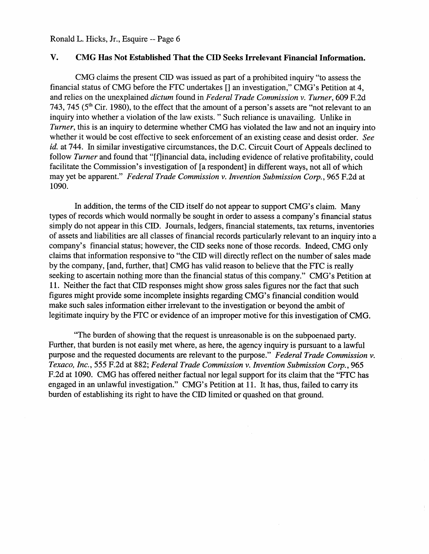#### V. CMG Has Not Established That the CID Seeks Irrelevant Financial Information.

CMG claims the present CID was issued as part of a prohibited inquiry "to assess the financial status of CMG before the FTC undertakes  $\lceil \rceil$  an investigation," CMG's Petition at 4, and relies on the unexplained *dictum* found in Federal Trade Commission v. Turner, 609 F.2d 743, 745 ( $5<sup>th</sup>$  Cir. 1980), to the effect that the amount of a person's assets are "not relevant to an inquiry into whether a violation of the law exists. " Such reliance is unavailing. Unlike in Turner, this is an inquiry to determine whether CMG has violated the law and not an inquiry into whether it would be cost effective to seek enforcement of an existing cease and desist order. See id. at 744. In similar investigative circumstances, the D.C. Circuit Court of Appeals declined to follow Turner and found that "[f]inancial data, including evidence of relative profitability, could facilitate the Commission's investigation of [a respondent] in different ways, not all of which may yet be apparent." Federal Trade Commission v. Invention Submission Corp. 965 F.2d at 1090.

In addition, the terms of the CID itself do not appear to support CMG's claim. Many types of records which would normally be sought in order to assess a company's financial status simply do not appear in this CID. Journals, ledgers, financial statements, tax returns, inventories of assets and liabilities are all classes of financial records paricularly relevant to an inquiry into a company's financial status; however, the CID seeks none of those records. Indeed, CMG only claims that information responsive to "the CID wil directly reflect on the number of sales made by the company, (and, further, that) CMG has valid reason to believe that the FTC is really seeking to ascertain nothing more than the financial status of this company." CMG's Petition at 11. Neither the fact that CID responses might show gross sales figures nor the fact that such figures might provide some incomplete insights regarding CMG' s financial condition would make such sales information either irrelevant to the investigation or beyond the ambit of legitimate inquiry by the FTC or evidence of an improper motive for this investigation of CMG.

The burden of showing that the request is unreasonable is on the subpoenaed pary. Further, that burden is not easily met where, as here, the agency inquiry is pursuant to a lawful purpose and the requested documents are relevant to the purpose." Federal Trade Commission  $v$ . Texaco, Inc., 555 F.2d at 882; Federal Trade Commission v. Invention Submission Corp., 965 F.2d at 1090. CMG has offered neither factual nor legal support for its claim that the "FTC has engaged in an unlawful investigation." CMG's Petition at 11. It has, thus, failed to carry its burden of establishing its right to have the CID limited or quashed on that ground.